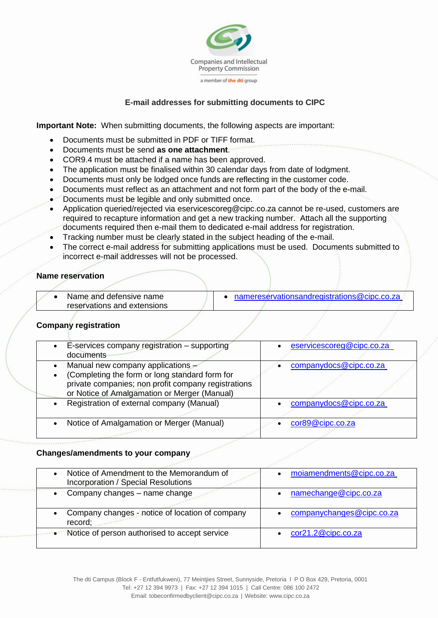

# **E-mail addresses for submitting documents to CIPC**

**Important Note:** When submitting documents, the following aspects are important:

- Documents must be submitted in PDF or TIFF format.
- Documents must be send **as one attachment**.
- COR9.4 must be attached if a name has been approved.
- The application must be finalised within 30 calendar days from date of lodgment.
- Documents must only be lodged once funds are reflecting in the customer code.
- Documents must reflect as an attachment and not form part of the body of the e-mail.
- Documents must be legible and only submitted once.
- Application queried/rejected via eservicescoreg@cipc.co.za cannot be re-used, customers are required to recapture information and get a new tracking number. Attach all the supporting documents required then e-mail them to dedicated e-mail address for registration.
- Tracking number must be clearly stated in the subject heading of the e-mail.
- The correct e-mail address for submitting applications must be used. Documents submitted to incorrect e-mail addresses will not be processed.

## **Name reservation**

| Name and defensive name     | namereservationsandregistrations@cipc.co.za |  |
|-----------------------------|---------------------------------------------|--|
| reservations and extensions |                                             |  |

## **Company registration**

| E-services company registration - supporting<br>documents                                                                                                                                               | eservicescoreg@cipc.co.za |
|---------------------------------------------------------------------------------------------------------------------------------------------------------------------------------------------------------|---------------------------|
| Manual new company applications -<br>$\bullet$<br>(Completing the form or long standard form for<br>private companies; non profit company registrations<br>or Notice of Amalgamation or Merger (Manual) | companydocs@cipc.co.za    |
| Registration of external company (Manual)                                                                                                                                                               | companydocs@cipc.co.za    |
| Notice of Amalgamation or Merger (Manual)<br>$\bullet$                                                                                                                                                  | cor89@cipc.co.za          |

## **Changes/amendments to your company**

| Notice of Amendment to the Memorandum of<br><b>Incorporation / Special Resolutions</b> | moiamendments@cipc.co.za  |
|----------------------------------------------------------------------------------------|---------------------------|
| Company changes - name change<br>$\bullet$                                             | namechange@cipc.co.za     |
| Company changes - notice of location of company<br>record;                             | companychanges@cipc.co.za |
| <b>Notice of person authorised to accept service</b>                                   | cor21.2@cipc.co.za        |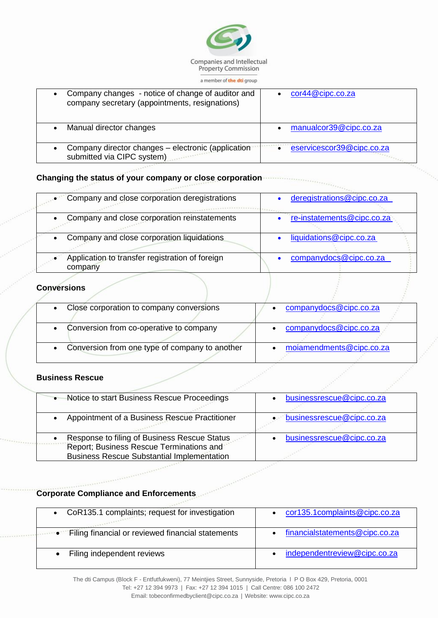

#### a member of the dti group

| Company changes - notice of change of auditor and<br>$\bullet$<br>company secretary (appointments, resignations) | cor44@cipc.co.za          |
|------------------------------------------------------------------------------------------------------------------|---------------------------|
| Manual director changes                                                                                          | manualcor39@cipc.co.za    |
| Company director changes - electronic (application<br>$\bullet$<br>submitted via CIPC system)                    | eservicescor39@cipc.co.za |

#### **Changing the status of your company or close corporation**

|           | Company and close corporation deregistrations              | deregistrations@cipc.co.za |
|-----------|------------------------------------------------------------|----------------------------|
| $\bullet$ | Company and close corporation reinstatements               | re-instatements@cipc.co.za |
|           | Company and close corporation liquidations                 | liquidations@cipc.co.za    |
|           | Application to transfer registration of foreign<br>company | companydocs@cipc.co.za     |

#### **Conversions**

| Close corporation to company conversions       | companydocs@cipc.co.za   |
|------------------------------------------------|--------------------------|
| Conversion from co-operative to company        | companydocs@cipc.co.za   |
| Conversion from one type of company to another | moiamendments@cipc.co.za |

## **Business Rescue**

| • Notice to start Business Rescue Proceedings                                                                                                              | businessrescue@cipc.co.za |
|------------------------------------------------------------------------------------------------------------------------------------------------------------|---------------------------|
| Appointment of a Business Rescue Practitioner                                                                                                              | businessrescue@cipc.co.za |
| Response to filing of Business Rescue Status<br>$\bullet$<br>Report; Business Rescue Terminations and<br><b>Business Rescue Substantial Implementation</b> | businessrescue@cipc.co.za |

 $e^{\pm i\theta}$ 

## **Corporate Compliance and Enforcements**

| • CoR135.1 complaints; request for investigation                  | cor135.1complaints@cipc.co.za  |
|-------------------------------------------------------------------|--------------------------------|
| <b>Example:</b> Filing financial or reviewed financial statements | financialstatements@cipc.co.za |
| Filing independent reviews                                        | independentreview@cipc.co.za   |

The dti Campus (Block F - Entfutfukweni), 77 Meintjies Street, Sunnyside, Pretoria l P O Box 429, Pretoria, 0001

Tel: +27 12 394 9973 | Fax: +27 12 394 1015 | Call Centre: 086 100 2472

[Email: tobeconfirmedbyclient@cipc.co.z](mailto:tobeconfirmedbyclient@cipc.co.za)a | Webs[ite: www.cipc.co.za](http://www.cipc.co.za/)